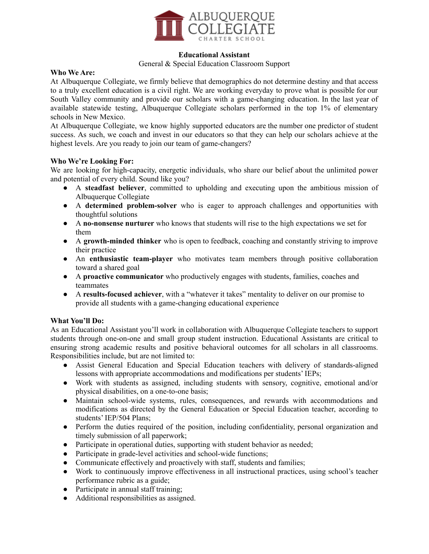

# **Educational Assistant**

#### General & Special Education Classroom Support

# **Who We Are:**

At Albuquerque Collegiate, we firmly believe that demographics do not determine destiny and that access to a truly excellent education is a civil right. We are working everyday to prove what is possible for our South Valley community and provide our scholars with a game-changing education. In the last year of available statewide testing, Albuquerque Collegiate scholars performed in the top 1% of elementary schools in New Mexico.

At Albuquerque Collegiate, we know highly supported educators are the number one predictor of student success. As such, we coach and invest in our educators so that they can help our scholars achieve at the highest levels. Are you ready to join our team of game-changers?

# **Who We're Looking For:**

We are looking for high-capacity, energetic individuals, who share our belief about the unlimited power and potential of every child. Sound like you?

- A **steadfast believer**, committed to upholding and executing upon the ambitious mission of Albuquerque Collegiate
- A **determined problem-solver** who is eager to approach challenges and opportunities with thoughtful solutions
- A **no-nonsense nurturer** who knows that students will rise to the high expectations we set for them
- A **growth-minded thinker** who is open to feedback, coaching and constantly striving to improve their practice
- An **enthusiastic team-player** who motivates team members through positive collaboration toward a shared goal
- A **proactive communicator** who productively engages with students, families, coaches and teammates
- A **results-focused achiever**, with a "whatever it takes" mentality to deliver on our promise to provide all students with a game-changing educational experience

# **What You'll Do:**

As an Educational Assistant you'll work in collaboration with Albuquerque Collegiate teachers to support students through one-on-one and small group student instruction. Educational Assistants are critical to ensuring strong academic results and positive behavioral outcomes for all scholars in all classrooms. Responsibilities include, but are not limited to:

- Assist General Education and Special Education teachers with delivery of standards-aligned lessons with appropriate accommodations and modifications per students' IEPs;
- Work with students as assigned, including students with sensory, cognitive, emotional and/or physical disabilities, on a one-to-one basis;
- Maintain school-wide systems, rules, consequences, and rewards with accommodations and modifications as directed by the General Education or Special Education teacher, according to students' IEP/504 Plans;
- Perform the duties required of the position, including confidentiality, personal organization and timely submission of all paperwork;
- Participate in operational duties, supporting with student behavior as needed;
- Participate in grade-level activities and school-wide functions;
- Communicate effectively and proactively with staff, students and families;
- Work to continuously improve effectiveness in all instructional practices, using school's teacher performance rubric as a guide;
- Participate in annual staff training;
- Additional responsibilities as assigned.